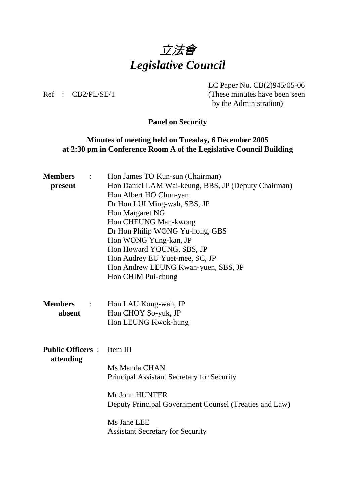

 LC Paper No. CB(2)945/05-06 Ref : CB2/PL/SE/1 (These minutes have been seen by the Administration)

## **Panel on Security**

## **Minutes of meeting held on Tuesday, 6 December 2005 at 2:30 pm in Conference Room A of the Legislative Council Building**

| <b>Members</b><br>$\ddot{\cdot}$           | Hon James TO Kun-sun (Chairman)                        |  |
|--------------------------------------------|--------------------------------------------------------|--|
| present                                    | Hon Daniel LAM Wai-keung, BBS, JP (Deputy Chairman)    |  |
|                                            | Hon Albert HO Chun-yan                                 |  |
|                                            | Dr Hon LUI Ming-wah, SBS, JP                           |  |
|                                            | Hon Margaret NG                                        |  |
|                                            | Hon CHEUNG Man-kwong                                   |  |
|                                            | Dr Hon Philip WONG Yu-hong, GBS                        |  |
|                                            | Hon WONG Yung-kan, JP                                  |  |
|                                            | Hon Howard YOUNG, SBS, JP                              |  |
|                                            | Hon Audrey EU Yuet-mee, SC, JP                         |  |
|                                            | Hon Andrew LEUNG Kwan-yuen, SBS, JP                    |  |
|                                            | Hon CHIM Pui-chung                                     |  |
|                                            |                                                        |  |
|                                            |                                                        |  |
| <b>Members</b><br>$\mathbb{R}^2$<br>absent | Hon LAU Kong-wah, JP                                   |  |
|                                            | Hon CHOY So-yuk, JP                                    |  |
|                                            | Hon LEUNG Kwok-hung                                    |  |
|                                            |                                                        |  |
| <b>Public Officers:</b><br>attending       | Item III                                               |  |
|                                            |                                                        |  |
|                                            | Ms Manda CHAN                                          |  |
|                                            | Principal Assistant Secretary for Security             |  |
|                                            | Mr John HUNTER                                         |  |
|                                            | Deputy Principal Government Counsel (Treaties and Law) |  |
|                                            | Ms Jane LEE                                            |  |
|                                            | <b>Assistant Secretary for Security</b>                |  |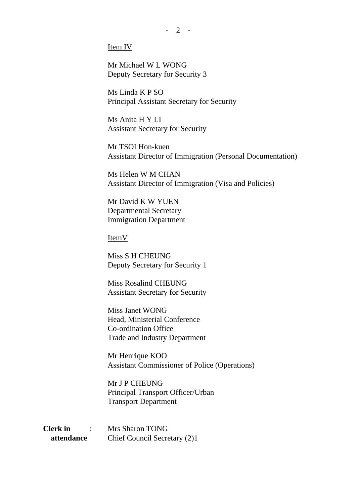$-2 -$ 

Item IV

 Mr Michael W L WONG Deputy Secretary for Security 3

 Ms Linda K P SO Principal Assistant Secretary for Security

 Ms Anita H Y LI Assistant Secretary for Security

 Mr TSOI Hon-kuen Assistant Director of Immigration (Personal Documentation)

 Ms Helen W M CHAN Assistant Director of Immigration (Visa and Policies)

 Mr David K W YUEN Departmental Secretary Immigration Department

ItemV

 Miss S H CHEUNG Deputy Secretary for Security 1

 Miss Rosalind CHEUNG Assistant Secretary for Security

 Miss Janet WONG Head, Ministerial Conference Co-ordination Office Trade and Industry Department

 Mr Henrique KOO Assistant Commissioner of Police (Operations)

 Mr J P CHEUNG Principal Transport Officer/Urban Transport Department

**Clerk in** : Mrs Sharon TONG  **attendance** Chief Council Secretary (2)1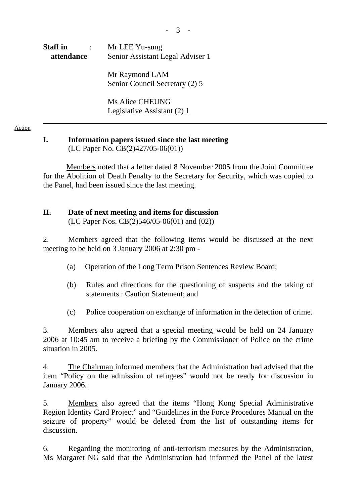- 3 -

# **Staff in** : Mr LEE Yu-sung  **attendance** Senior Assistant Legal Adviser 1

 Mr Raymond LAM Senior Council Secretary (2) 5

 Ms Alice CHEUNG Legislative Assistant (2) 1

#### Action

#### **I. Information papers issued since the last meeting**  (LC Paper No. CB(2)427/05-06(01))

 Members noted that a letter dated 8 November 2005 from the Joint Committee for the Abolition of Death Penalty to the Secretary for Security, which was copied to the Panel, had been issued since the last meeting.

## **II. Date of next meeting and items for discussion**

(LC Paper Nos. CB(2)546/05-06(01) and (02))

2. Members agreed that the following items would be discussed at the next meeting to be held on 3 January 2006 at 2:30 pm -

- (a) Operation of the Long Term Prison Sentences Review Board;
- (b) Rules and directions for the questioning of suspects and the taking of statements : Caution Statement; and
- (c) Police cooperation on exchange of information in the detection of crime.

3. Members also agreed that a special meeting would be held on 24 January 2006 at 10:45 am to receive a briefing by the Commissioner of Police on the crime situation in 2005.

4. The Chairman informed members that the Administration had advised that the item "Policy on the admission of refugees" would not be ready for discussion in January 2006.

5. Members also agreed that the items "Hong Kong Special Administrative Region Identity Card Project" and "Guidelines in the Force Procedures Manual on the seizure of property" would be deleted from the list of outstanding items for discussion.

6. Regarding the monitoring of anti-terrorism measures by the Administration, Ms Margaret NG said that the Administration had informed the Panel of the latest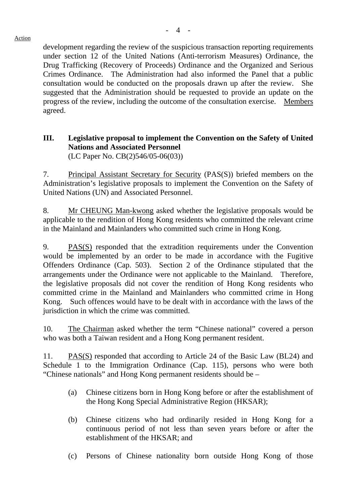development regarding the review of the suspicious transaction reporting requirements under section 12 of the United Nations (Anti-terrorism Measures) Ordinance, the Drug Trafficking (Recovery of Proceeds) Ordinance and the Organized and Serious Crimes Ordinance. The Administration had also informed the Panel that a public consultation would be conducted on the proposals drawn up after the review. She suggested that the Administration should be requested to provide an update on the progress of the review, including the outcome of the consultation exercise. Members agreed.

# **III. Legislative proposal to implement the Convention on the Safety of United Nations and Associated Personnel**

(LC Paper No. CB(2)546/05-06(03))

7. Principal Assistant Secretary for Security (PAS(S)) briefed members on the Administration's legislative proposals to implement the Convention on the Safety of United Nations (UN) and Associated Personnel.

8. Mr CHEUNG Man-kwong asked whether the legislative proposals would be applicable to the rendition of Hong Kong residents who committed the relevant crime in the Mainland and Mainlanders who committed such crime in Hong Kong.

9. PAS(S) responded that the extradition requirements under the Convention would be implemented by an order to be made in accordance with the Fugitive Offenders Ordinance (Cap. 503). Section 2 of the Ordinance stipulated that the arrangements under the Ordinance were not applicable to the Mainland. Therefore, the legislative proposals did not cover the rendition of Hong Kong residents who committed crime in the Mainland and Mainlanders who committed crime in Hong Kong. Such offences would have to be dealt with in accordance with the laws of the jurisdiction in which the crime was committed.

10. The Chairman asked whether the term "Chinese national" covered a person who was both a Taiwan resident and a Hong Kong permanent resident.

11. PAS(S) responded that according to Article 24 of the Basic Law (BL24) and Schedule 1 to the Immigration Ordinance (Cap. 115), persons who were both "Chinese nationals" and Hong Kong permanent residents should be –

- (a) Chinese citizens born in Hong Kong before or after the establishment of the Hong Kong Special Administrative Region (HKSAR);
- (b) Chinese citizens who had ordinarily resided in Hong Kong for a continuous period of not less than seven years before or after the establishment of the HKSAR; and
- (c) Persons of Chinese nationality born outside Hong Kong of those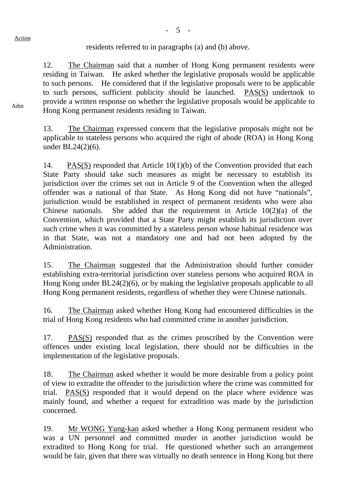residents referred to in paragraphs (a) and (b) above.

12. The Chairman said that a number of Hong Kong permanent residents were residing in Taiwan. He asked whether the legislative proposals would be applicable to such persons. He considered that if the legislative proposals were to be applicable to such persons, sufficient publicity should be launched. PAS(S) undertook to provide a written response on whether the legislative proposals would be applicable to Hong Kong permanent residents residing in Taiwan.

13. The Chairman expressed concern that the legislative proposals might not be applicable to stateless persons who acquired the right of abode (ROA) in Hong Kong under BL24(2)(6).

14. PAS(S) responded that Article 10(1)(b) of the Convention provided that each State Party should take such measures as might be necessary to establish its jurisdiction over the crimes set out in Article 9 of the Convention when the alleged offender was a national of that State. As Hong Kong did not have "nationals", jurisdiction would be established in respect of permanent residents who were also Chinese nationals. She added that the requirement in Article 10(2)(a) of the Convention, which provided that a State Party might establish its jurisdiction over such crime when it was committed by a stateless person whose habitual residence was in that State, was not a mandatory one and had not been adopted by the Administration.

15. The Chairman suggested that the Administration should further consider establishing extra-territorial jurisdiction over stateless persons who acquired ROA in Hong Kong under BL24(2)(6), or by making the legislative proposals applicable to all Hong Kong permanent residents, regardless of whether they were Chinese nationals.

16. The Chairman asked whether Hong Kong had encountered difficulties in the trial of Hong Kong residents who had committed crime in another jurisdiction.

17. PAS(S) responded that as the crimes proscribed by the Convention were offences under existing local legislation, there should not be difficulties in the implementation of the legislative proposals.

18. The Chairman asked whether it would be more desirable from a policy point of view to extradite the offender to the jurisdiction where the crime was committed for trial. PAS(S) responded that it would depend on the place where evidence was mainly found, and whether a request for extradition was made by the jurisdiction concerned.

19. Mr WONG Yung-kan asked whether a Hong Kong permanent resident who was a UN personnel and committed murder in another jurisdiction would be extradited to Hong Kong for trial. He questioned whether such an arrangement would be fair, given that there was virtually no death sentence in Hong Kong but there

Adm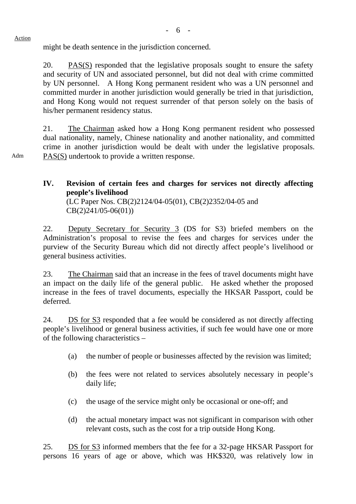might be death sentence in the jurisdiction concerned.

Action

Adm

20. PAS(S) responded that the legislative proposals sought to ensure the safety and security of UN and associated personnel, but did not deal with crime committed by UN personnel. A Hong Kong permanent resident who was a UN personnel and committed murder in another jurisdiction would generally be tried in that jurisdiction, and Hong Kong would not request surrender of that person solely on the basis of his/her permanent residency status.

21. The Chairman asked how a Hong Kong permanent resident who possessed dual nationality, namely, Chinese nationality and another nationality, and committed crime in another jurisdiction would be dealt with under the legislative proposals. PAS(S) undertook to provide a written response.

**IV. Revision of certain fees and charges for services not directly affecting people's livelihood** 

 (LC Paper Nos. CB(2)2124/04-05(01), CB(2)2352/04-05 and CB(2)241/05-06(01))

22. Deputy Secretary for Security 3 (DS for S3) briefed members on the Administration's proposal to revise the fees and charges for services under the purview of the Security Bureau which did not directly affect people's livelihood or general business activities.

23. The Chairman said that an increase in the fees of travel documents might have an impact on the daily life of the general public. He asked whether the proposed increase in the fees of travel documents, especially the HKSAR Passport, could be deferred.

24. DS for S3 responded that a fee would be considered as not directly affecting people's livelihood or general business activities, if such fee would have one or more of the following characteristics –

- (a) the number of people or businesses affected by the revision was limited;
- (b) the fees were not related to services absolutely necessary in people's daily life;
- (c) the usage of the service might only be occasional or one-off; and
- (d) the actual monetary impact was not significant in comparison with other relevant costs, such as the cost for a trip outside Hong Kong.

25. DS for S3 informed members that the fee for a 32-page HKSAR Passport for persons 16 years of age or above, which was HK\$320, was relatively low in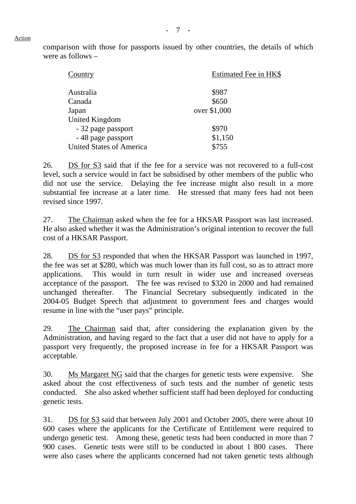comparison with those for passports issued by other countries, the details of which were as follows –

| Country                         | Estimated Fee in HK\$ |  |
|---------------------------------|-----------------------|--|
| Australia                       | \$987                 |  |
| Canada                          | \$650                 |  |
| Japan                           | over \$1,000          |  |
| <b>United Kingdom</b>           |                       |  |
| - 32 page passport              | \$970                 |  |
| - 48 page passport              | \$1,150               |  |
| <b>United States of America</b> | \$755                 |  |

26. DS for S3 said that if the fee for a service was not recovered to a full-cost level, such a service would in fact be subsidised by other members of the public who did not use the service. Delaying the fee increase might also result in a more substantial fee increase at a later time. He stressed that many fees had not been revised since 1997.

27. The Chairman asked when the fee for a HKSAR Passport was last increased. He also asked whether it was the Administration's original intention to recover the full cost of a HKSAR Passport.

28. DS for S3 responded that when the HKSAR Passport was launched in 1997, the fee was set at \$280, which was much lower than its full cost, so as to attract more applications. This would in turn result in wider use and increased overseas acceptance of the passport. The fee was revised to \$320 in 2000 and had remained unchanged thereafter. The Financial Secretary subsequently indicated in the 2004-05 Budget Speech that adjustment to government fees and charges would resume in line with the "user pays" principle.

29. The Chairman said that, after considering the explanation given by the Administration, and having regard to the fact that a user did not have to apply for a passport very frequently, the proposed increase in fee for a HKSAR Passport was acceptable.

30. Ms Margaret NG said that the charges for genetic tests were expensive. She asked about the cost effectiveness of such tests and the number of genetic tests conducted. She also asked whether sufficient staff had been deployed for conducting genetic tests.

31. DS for S3 said that between July 2001 and October 2005, there were about 10 600 cases where the applicants for the Certificate of Entitlement were required to undergo genetic test. Among these, genetic tests had been conducted in more than 7 900 cases. Genetic tests were still to be conducted in about 1 800 cases. There were also cases where the applicants concerned had not taken genetic tests although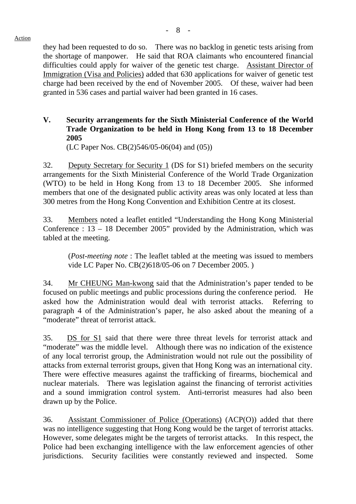they had been requested to do so. There was no backlog in genetic tests arising from the shortage of manpower. He said that ROA claimants who encountered financial difficulties could apply for waiver of the genetic test charge. Assistant Director of Immigration (Visa and Policies) added that 630 applications for waiver of genetic test charge had been received by the end of November 2005. Of these, waiver had been granted in 536 cases and partial waiver had been granted in 16 cases.

## **V. Security arrangements for the Sixth Ministerial Conference of the World Trade Organization to be held in Hong Kong from 13 to 18 December 2005**

(LC Paper Nos. CB(2)546/05-06(04) and (05))

32. Deputy Secretary for Security 1 (DS for S1) briefed members on the security arrangements for the Sixth Ministerial Conference of the World Trade Organization (WTO) to be held in Hong Kong from 13 to 18 December 2005. She informed members that one of the designated public activity areas was only located at less than 300 metres from the Hong Kong Convention and Exhibition Centre at its closest.

33. Members noted a leaflet entitled "Understanding the Hong Kong Ministerial Conference : 13 – 18 December 2005" provided by the Administration, which was tabled at the meeting.

(*Post-meeting note* : The leaflet tabled at the meeting was issued to members vide LC Paper No. CB(2)618/05-06 on 7 December 2005. )

34. Mr CHEUNG Man-kwong said that the Administration's paper tended to be focused on public meetings and public processions during the conference period. He asked how the Administration would deal with terrorist attacks. Referring to paragraph 4 of the Administration's paper, he also asked about the meaning of a "moderate" threat of terrorist attack.

35. DS for S1 said that there were three threat levels for terrorist attack and "moderate" was the middle level. Although there was no indication of the existence of any local terrorist group, the Administration would not rule out the possibility of attacks from external terrorist groups, given that Hong Kong was an international city. There were effective measures against the trafficking of firearms, biochemical and nuclear materials. There was legislation against the financing of terrorist activities and a sound immigration control system. Anti-terrorist measures had also been drawn up by the Police.

36. Assistant Commissioner of Police (Operations) (ACP(O)) added that there was no intelligence suggesting that Hong Kong would be the target of terrorist attacks. However, some delegates might be the targets of terrorist attacks. In this respect, the Police had been exchanging intelligence with the law enforcement agencies of other jurisdictions. Security facilities were constantly reviewed and inspected. Some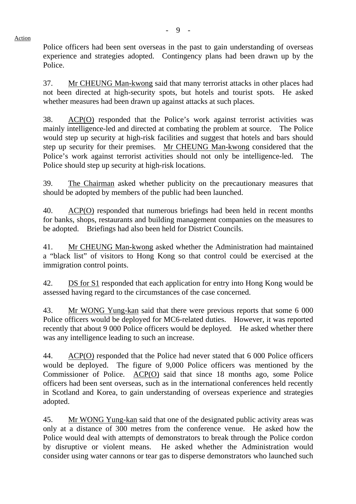Police officers had been sent overseas in the past to gain understanding of overseas experience and strategies adopted. Contingency plans had been drawn up by the Police.

37. Mr CHEUNG Man-kwong said that many terrorist attacks in other places had not been directed at high-security spots, but hotels and tourist spots. He asked whether measures had been drawn up against attacks at such places.

38. ACP(O) responded that the Police's work against terrorist activities was mainly intelligence-led and directed at combating the problem at source. The Police would step up security at high-risk facilities and suggest that hotels and bars should step up security for their premises. Mr CHEUNG Man-kwong considered that the Police's work against terrorist activities should not only be intelligence-led. The Police should step up security at high-risk locations.

39. The Chairman asked whether publicity on the precautionary measures that should be adopted by members of the public had been launched.

40. ACP(O) responded that numerous briefings had been held in recent months for banks, shops, restaurants and building management companies on the measures to be adopted. Briefings had also been held for District Councils.

41. Mr CHEUNG Man-kwong asked whether the Administration had maintained a "black list" of visitors to Hong Kong so that control could be exercised at the immigration control points.

42. DS for S1 responded that each application for entry into Hong Kong would be assessed having regard to the circumstances of the case concerned.

43. Mr WONG Yung-kan said that there were previous reports that some 6 000 Police officers would be deployed for MC6-related duties. However, it was reported recently that about 9 000 Police officers would be deployed. He asked whether there was any intelligence leading to such an increase.

44. ACP(O) responded that the Police had never stated that 6 000 Police officers would be deployed. The figure of 9,000 Police officers was mentioned by the Commissioner of Police. ACP(O) said that since 18 months ago, some Police officers had been sent overseas, such as in the international conferences held recently in Scotland and Korea, to gain understanding of overseas experience and strategies adopted.

45. Mr WONG Yung-kan said that one of the designated public activity areas was only at a distance of 300 metres from the conference venue. He asked how the Police would deal with attempts of demonstrators to break through the Police cordon by disruptive or violent means. He asked whether the Administration would consider using water cannons or tear gas to disperse demonstrators who launched such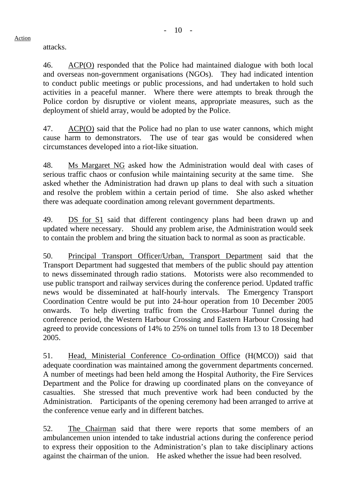attacks.

46. ACP(O) responded that the Police had maintained dialogue with both local and overseas non-government organisations (NGOs). They had indicated intention to conduct public meetings or public processions, and had undertaken to hold such activities in a peaceful manner. Where there were attempts to break through the Police cordon by disruptive or violent means, appropriate measures, such as the deployment of shield array, would be adopted by the Police.

47. ACP(O) said that the Police had no plan to use water cannons, which might cause harm to demonstrators. The use of tear gas would be considered when circumstances developed into a riot-like situation.

48. Ms Margaret NG asked how the Administration would deal with cases of serious traffic chaos or confusion while maintaining security at the same time. She asked whether the Administration had drawn up plans to deal with such a situation and resolve the problem within a certain period of time. She also asked whether there was adequate coordination among relevant government departments.

49. DS for S1 said that different contingency plans had been drawn up and updated where necessary. Should any problem arise, the Administration would seek to contain the problem and bring the situation back to normal as soon as practicable.

50. Principal Transport Officer/Urban, Transport Department said that the Transport Department had suggested that members of the public should pay attention to news disseminated through radio stations. Motorists were also recommended to use public transport and railway services during the conference period. Updated traffic news would be disseminated at half-hourly intervals. The Emergency Transport Coordination Centre would be put into 24-hour operation from 10 December 2005 onwards. To help diverting traffic from the Cross-Harbour Tunnel during the conference period, the Western Harbour Crossing and Eastern Harbour Crossing had agreed to provide concessions of 14% to 25% on tunnel tolls from 13 to 18 December 2005.

51. Head, Ministerial Conference Co-ordination Office (H(MCO)) said that adequate coordination was maintained among the government departments concerned. A number of meetings had been held among the Hospital Authority, the Fire Services Department and the Police for drawing up coordinated plans on the conveyance of casualties. She stressed that much preventive work had been conducted by the Administration. Participants of the opening ceremony had been arranged to arrive at the conference venue early and in different batches.

52. The Chairman said that there were reports that some members of an ambulancemen union intended to take industrial actions during the conference period to express their opposition to the Administration's plan to take disciplinary actions against the chairman of the union. He asked whether the issue had been resolved.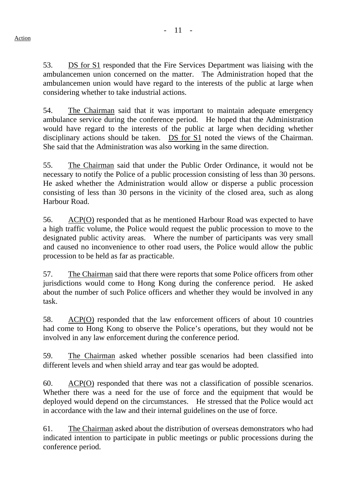53. DS for S1 responded that the Fire Services Department was liaising with the ambulancemen union concerned on the matter. The Administration hoped that the ambulancemen union would have regard to the interests of the public at large when considering whether to take industrial actions.

54. The Chairman said that it was important to maintain adequate emergency ambulance service during the conference period. He hoped that the Administration would have regard to the interests of the public at large when deciding whether disciplinary actions should be taken. DS for S1 noted the views of the Chairman. She said that the Administration was also working in the same direction.

55. The Chairman said that under the Public Order Ordinance, it would not be necessary to notify the Police of a public procession consisting of less than 30 persons. He asked whether the Administration would allow or disperse a public procession consisting of less than 30 persons in the vicinity of the closed area, such as along Harbour Road.

56. ACP(O) responded that as he mentioned Harbour Road was expected to have a high traffic volume, the Police would request the public procession to move to the designated public activity areas. Where the number of participants was very small and caused no inconvenience to other road users, the Police would allow the public procession to be held as far as practicable.

57. The Chairman said that there were reports that some Police officers from other jurisdictions would come to Hong Kong during the conference period. He asked about the number of such Police officers and whether they would be involved in any task.

58. ACP(O) responded that the law enforcement officers of about 10 countries had come to Hong Kong to observe the Police's operations, but they would not be involved in any law enforcement during the conference period.

59. The Chairman asked whether possible scenarios had been classified into different levels and when shield array and tear gas would be adopted.

60. ACP(O) responded that there was not a classification of possible scenarios. Whether there was a need for the use of force and the equipment that would be deployed would depend on the circumstances. He stressed that the Police would act in accordance with the law and their internal guidelines on the use of force.

61. The Chairman asked about the distribution of overseas demonstrators who had indicated intention to participate in public meetings or public processions during the conference period.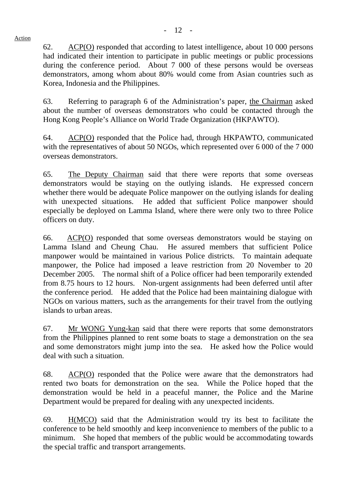62. ACP(O) responded that according to latest intelligence, about 10 000 persons had indicated their intention to participate in public meetings or public processions during the conference period. About 7 000 of these persons would be overseas demonstrators, among whom about 80% would come from Asian countries such as Korea, Indonesia and the Philippines.

63. Referring to paragraph 6 of the Administration's paper, the Chairman asked about the number of overseas demonstrators who could be contacted through the Hong Kong People's Alliance on World Trade Organization (HKPAWTO).

64. ACP(O) responded that the Police had, through HKPAWTO, communicated with the representatives of about 50 NGOs, which represented over 6 000 of the 7 000 overseas demonstrators.

65. The Deputy Chairman said that there were reports that some overseas demonstrators would be staying on the outlying islands. He expressed concern whether there would be adequate Police manpower on the outlying islands for dealing with unexpected situations. He added that sufficient Police manpower should especially be deployed on Lamma Island, where there were only two to three Police officers on duty.

66. ACP(O) responded that some overseas demonstrators would be staying on Lamma Island and Cheung Chau. He assured members that sufficient Police manpower would be maintained in various Police districts. To maintain adequate manpower, the Police had imposed a leave restriction from 20 November to 20 December 2005. The normal shift of a Police officer had been temporarily extended from 8.75 hours to 12 hours. Non-urgent assignments had been deferred until after the conference period. He added that the Police had been maintaining dialogue with NGOs on various matters, such as the arrangements for their travel from the outlying islands to urban areas.

67. Mr WONG Yung-kan said that there were reports that some demonstrators from the Philippines planned to rent some boats to stage a demonstration on the sea and some demonstrators might jump into the sea. He asked how the Police would deal with such a situation.

68. ACP(O) responded that the Police were aware that the demonstrators had rented two boats for demonstration on the sea. While the Police hoped that the demonstration would be held in a peaceful manner, the Police and the Marine Department would be prepared for dealing with any unexpected incidents.

69. H(MCO) said that the Administration would try its best to facilitate the conference to be held smoothly and keep inconvenience to members of the public to a minimum. She hoped that members of the public would be accommodating towards the special traffic and transport arrangements.